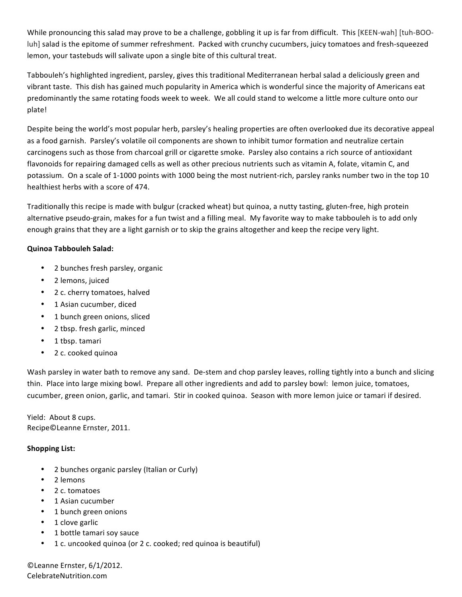While pronouncing this salad may prove to be a challenge, gobbling it up is far from difficult. This [KEEN-wah] [tuh-BOOluh] salad is the epitome of summer refreshment. Packed with crunchy cucumbers, juicy tomatoes and fresh-squeezed lemon, your tastebuds will salivate upon a single bite of this cultural treat.

Tabbouleh's highlighted ingredient, parsley, gives this traditional Mediterranean herbal salad a deliciously green and vibrant taste. This dish has gained much popularity in America which is wonderful since the majority of Americans eat predominantly the same rotating foods week to week. We all could stand to welcome a little more culture onto our plate!

Despite being the world's most popular herb, parsley's healing properties are often overlooked due its decorative appeal as a food garnish. Parsley's volatile oil components are shown to inhibit tumor formation and neutralize certain carcinogens such as those from charcoal grill or cigarette smoke. Parsley also contains a rich source of antioxidant flavonoids for repairing damaged cells as well as other precious nutrients such as vitamin A, folate, vitamin C, and potassium. On a scale of 1-1000 points with 1000 being the most nutrient-rich, parsley ranks number two in the top 10 healthiest herbs with a score of 474.

Traditionally this recipe is made with bulgur (cracked wheat) but quinoa, a nutty tasting, gluten-free, high protein alternative pseudo-grain, makes for a fun twist and a filling meal. My favorite way to make tabbouleh is to add only enough grains that they are a light garnish or to skip the grains altogether and keep the recipe very light.

## **Quinoa'Tabbouleh'Salad:**

- 2 bunches fresh parsley, organic
- 2 lemons, juiced
- 2 c. cherry tomatoes, halved
- 1 Asian cucumber, diced
- 1 bunch green onions, sliced
- 2 tbsp. fresh garlic, minced
- $\cdot$  1 tbsp. tamari
- 2 c. cooked quinoa

Wash parsley in water bath to remove any sand. De-stem and chop parsley leaves, rolling tightly into a bunch and slicing thin. Place into large mixing bowl. Prepare all other ingredients and add to parsley bowl: lemon juice, tomatoes, cucumber, green onion, garlic, and tamari. Stir in cooked quinoa. Season with more lemon juice or tamari if desired.

Yield: About 8 cups. Recipe©Leanne Ernster, 2011.

## **Shopping'List:**

- 2 bunches organic parsley (Italian or Curly)
- 2 lemons
- 2 c. tomatoes
- 1 Asian cucumber
- 1 bunch green onions
- 1 clove garlic
- 1 bottle tamari soy sauce
- 1 c. uncooked quinoa (or 2 c. cooked; red quinoa is beautiful)

©Leanne Ernster, 6/1/2012. CelebrateNutrition.com